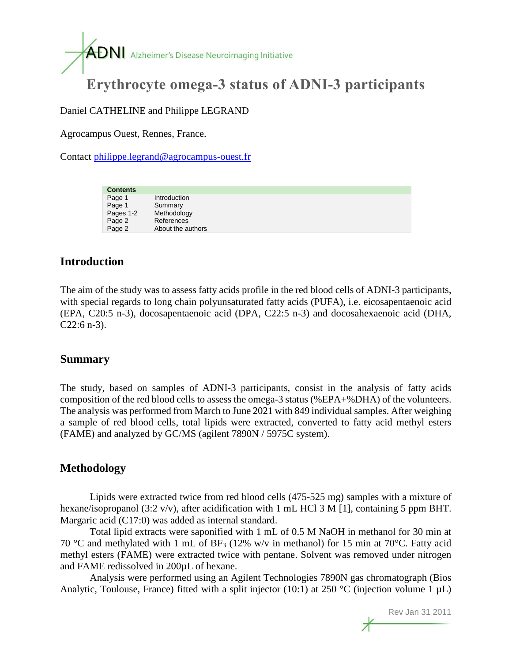

# **Erythrocyte omega-3 status of ADNI-3 participants**

Daniel CATHELINE and Philippe LEGRAND

Agrocampus Ouest, Rennes, France.

Contact [philippe.legrand@agrocampus-ouest.fr](mailto:philippe.legrand@agrocampus-ouest.fr)

| <b>Contents</b> |                   |
|-----------------|-------------------|
| Page 1          | Introduction      |
| Page 1          | Summary           |
| Pages 1-2       | Methodology       |
| Page 2          | References        |
| Page 2          | About the authors |

# **Introduction**

The aim of the study was to assess fatty acids profile in the red blood cells of ADNI-3 participants, with special regards to long chain polyunsaturated fatty acids (PUFA), i.e. eicosapentaenoic acid (EPA, C20:5 n-3), docosapentaenoic acid (DPA, C22:5 n-3) and docosahexaenoic acid (DHA,  $C22:6$  n-3).

#### **Summary**

The study, based on samples of ADNI-3 participants, consist in the analysis of fatty acids composition of the red blood cells to assess the omega-3 status (%EPA+%DHA) of the volunteers. The analysis was performed from March to June 2021 with 849 individual samples. After weighing a sample of red blood cells, total lipids were extracted, converted to fatty acid methyl esters (FAME) and analyzed by GC/MS (agilent 7890N / 5975C system).

## **Methodology**

Lipids were extracted twice from red blood cells (475-525 mg) samples with a mixture of hexane/isopropanol (3:2 v/v), after acidification with 1 mL HCl 3 M [1], containing 5 ppm BHT. Margaric acid (C17:0) was added as internal standard.

Total lipid extracts were saponified with 1 mL of 0.5 M NaOH in methanol for 30 min at 70 °C and methylated with 1 mL of BF<sub>3</sub> (12% w/v in methanol) for 15 min at 70 °C. Fatty acid methyl esters (FAME) were extracted twice with pentane. Solvent was removed under nitrogen and FAME redissolved in 200µL of hexane.

Analysis were performed using an Agilent Technologies 7890N gas chromatograph (Bios Analytic, Toulouse, France) fitted with a split injector (10:1) at 250 °C (injection volume 1  $\mu$ L)